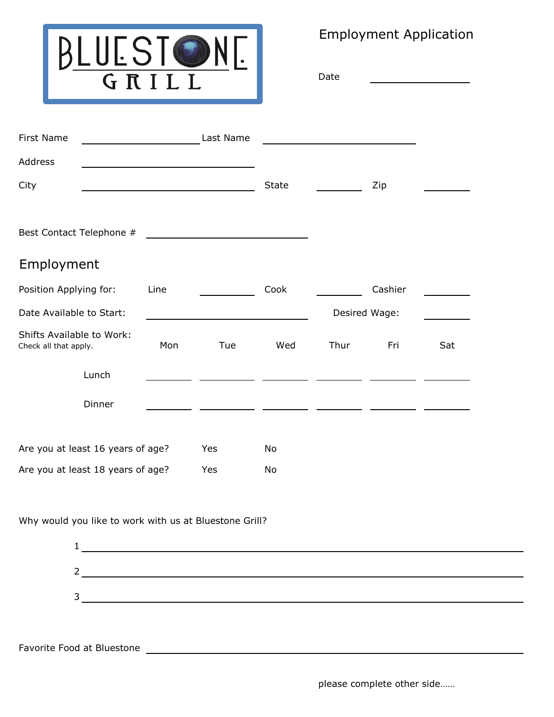

Employment Application

Date

| First Name                                                |      | Last Name                                     |               |      |         |     |
|-----------------------------------------------------------|------|-----------------------------------------------|---------------|------|---------|-----|
| Address                                                   |      |                                               |               |      |         |     |
| City                                                      |      |                                               | <b>State</b>  |      | Zip     |     |
|                                                           |      |                                               |               |      |         |     |
| Best Contact Telephone #                                  |      | <u> 1980 - Andrea Andrew Maria (h. 1980).</u> |               |      |         |     |
| Employment                                                |      |                                               |               |      |         |     |
| Position Applying for:                                    | Line |                                               | Cook          |      | Cashier |     |
| Date Available to Start:                                  |      |                                               | Desired Wage: |      |         |     |
| <b>Shifts Available to Work:</b><br>Check all that apply. | Mon  | Tue                                           | Wed           | Thur | Fri     | Sat |
| Lunch                                                     |      |                                               |               |      |         |     |
| Dinner                                                    |      |                                               |               |      |         |     |
| Are you at least 16 years of age?                         |      | Yes                                           | No            |      |         |     |
| Are you at least 18 years of age?                         |      | Yes                                           | No            |      |         |     |

Why would you like to work with us at Bluestone Grill?



Favorite Food at Bluestone